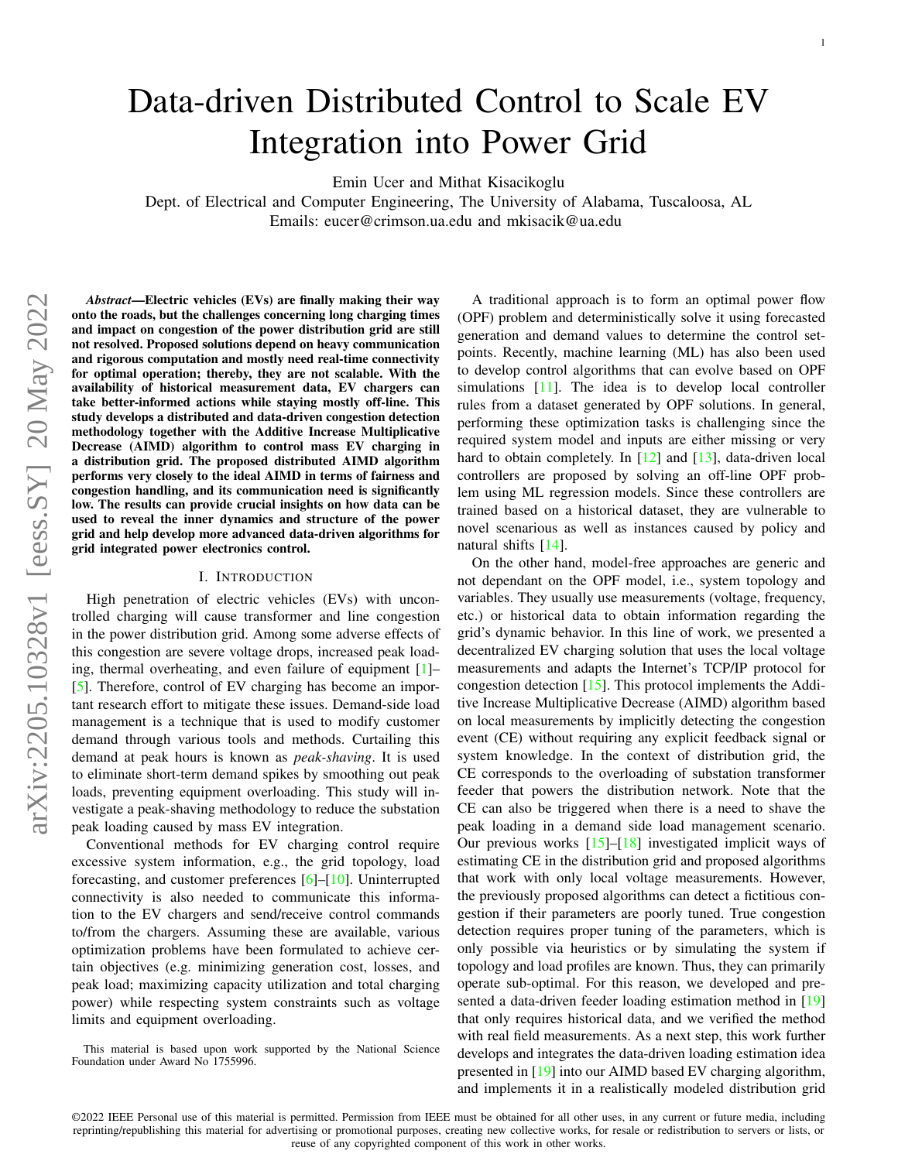# Data-driven Distributed Control to Scale EV Integration into Power Grid

Emin Ucer and Mithat Kisacikoglu

Dept. of Electrical and Computer Engineering, The University of Alabama, Tuscaloosa, AL Emails: eucer@crimson.ua.edu and mkisacik@ua.edu

*Abstract*—Electric vehicles (EVs) are finally making their way onto the roads, but the challenges concerning long charging times and impact on congestion of the power distribution grid are still not resolved. Proposed solutions depend on heavy communication and rigorous computation and mostly need real-time connectivity for optimal operation; thereby, they are not scalable. With the availability of historical measurement data, EV chargers can take better-informed actions while staying mostly off-line. This study develops a distributed and data-driven congestion detection methodology together with the Additive Increase Multiplicative Decrease (AIMD) algorithm to control mass EV charging in a distribution grid. The proposed distributed AIMD algorithm performs very closely to the ideal AIMD in terms of fairness and congestion handling, and its communication need is significantly low. The results can provide crucial insights on how data can be used to reveal the inner dynamics and structure of the power grid and help develop more advanced data-driven algorithms for grid integrated power electronics control.

#### I. INTRODUCTION

High penetration of electric vehicles (EVs) with uncontrolled charging will cause transformer and line congestion in the power distribution grid. Among some adverse effects of this congestion are severe voltage drops, increased peak loading, thermal overheating, and even failure of equipment [\[1\]](#page-4-0)– [\[5\]](#page-4-1). Therefore, control of EV charging has become an important research effort to mitigate these issues. Demand-side load management is a technique that is used to modify customer demand through various tools and methods. Curtailing this demand at peak hours is known as *peak-shaving*. It is used to eliminate short-term demand spikes by smoothing out peak loads, preventing equipment overloading. This study will investigate a peak-shaving methodology to reduce the substation peak loading caused by mass EV integration.

Conventional methods for EV charging control require excessive system information, e.g., the grid topology, load forecasting, and customer preferences [\[6\]](#page-4-2)–[\[10\]](#page-4-3). Uninterrupted connectivity is also needed to communicate this information to the EV chargers and send/receive control commands to/from the chargers. Assuming these are available, various optimization problems have been formulated to achieve certain objectives (e.g. minimizing generation cost, losses, and peak load; maximizing capacity utilization and total charging power) while respecting system constraints such as voltage limits and equipment overloading.

This material is based upon work supported by the National Science Foundation under Award No 1755996.

A traditional approach is to form an optimal power flow (OPF) problem and deterministically solve it using forecasted generation and demand values to determine the control setpoints. Recently, machine learning (ML) has also been used to develop control algorithms that can evolve based on OPF simulations [\[11\]](#page-4-4). The idea is to develop local controller rules from a dataset generated by OPF solutions. In general, performing these optimization tasks is challenging since the required system model and inputs are either missing or very hard to obtain completely. In [\[12\]](#page-4-5) and [\[13\]](#page-4-6), data-driven local controllers are proposed by solving an off-line OPF problem using ML regression models. Since these controllers are trained based on a historical dataset, they are vulnerable to novel scenarious as well as instances caused by policy and natural shifts [\[14\]](#page-4-7).

On the other hand, model-free approaches are generic and not dependant on the OPF model, i.e., system topology and variables. They usually use measurements (voltage, frequency, etc.) or historical data to obtain information regarding the grid's dynamic behavior. In this line of work, we presented a decentralized EV charging solution that uses the local voltage measurements and adapts the Internet's TCP/IP protocol for congestion detection [\[15\]](#page-4-8). This protocol implements the Additive Increase Multiplicative Decrease (AIMD) algorithm based on local measurements by implicitly detecting the congestion event (CE) without requiring any explicit feedback signal or system knowledge. In the context of distribution grid, the CE corresponds to the overloading of substation transformer feeder that powers the distribution network. Note that the CE can also be triggered when there is a need to shave the peak loading in a demand side load management scenario. Our previous works  $[15]$ – $[18]$  investigated implicit ways of estimating CE in the distribution grid and proposed algorithms that work with only local voltage measurements. However, the previously proposed algorithms can detect a fictitious congestion if their parameters are poorly tuned. True congestion detection requires proper tuning of the parameters, which is only possible via heuristics or by simulating the system if topology and load profiles are known. Thus, they can primarily operate sub-optimal. For this reason, we developed and presented a data-driven feeder loading estimation method in [\[19\]](#page-4-10) that only requires historical data, and we verified the method with real field measurements. As a next step, this work further develops and integrates the data-driven loading estimation idea presented in [\[19\]](#page-4-10) into our AIMD based EV charging algorithm, and implements it in a realistically modeled distribution grid

©2022 IEEE Personal use of this material is permitted. Permission from IEEE must be obtained for all other uses, in any current or future media, including reprinting/republishing this material for advertising or promotional purposes, creating new collective works, for resale or redistribution to servers or lists, or reuse of any copyrighted component of this work in other works.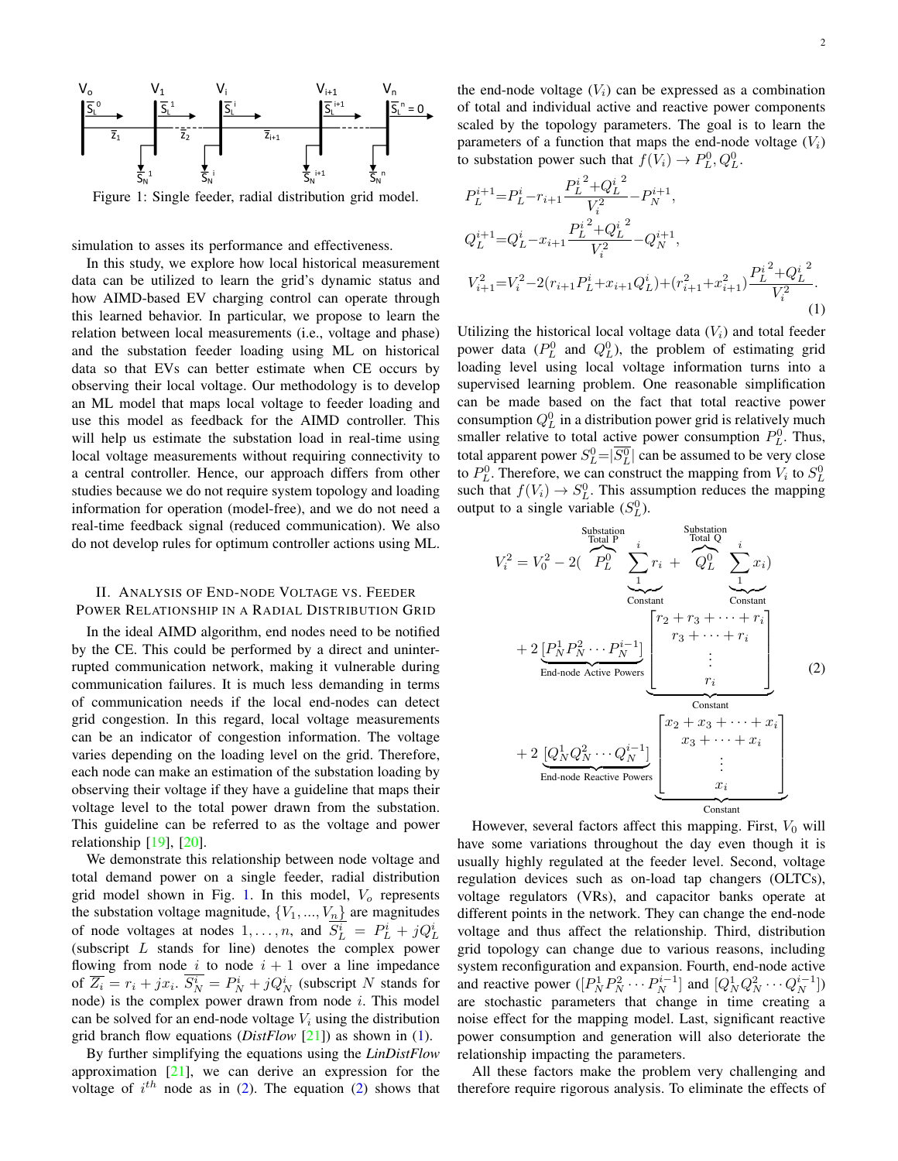<span id="page-1-0"></span>

Figure 1: Single feeder, radial distribution grid model.

simulation to asses its performance and effectiveness.

In this study, we explore how local historical measurement data can be utilized to learn the grid's dynamic status and how AIMD-based EV charging control can operate through this learned behavior. In particular, we propose to learn the relation between local measurements (i.e., voltage and phase) and the substation feeder loading using ML on historical data so that EVs can better estimate when CE occurs by observing their local voltage. Our methodology is to develop an ML model that maps local voltage to feeder loading and use this model as feedback for the AIMD controller. This will help us estimate the substation load in real-time using local voltage measurements without requiring connectivity to a central controller. Hence, our approach differs from other studies because we do not require system topology and loading information for operation (model-free), and we do not need a real-time feedback signal (reduced communication). We also do not develop rules for optimum controller actions using ML.

# II. ANALYSIS OF END-NODE VOLTAGE VS. FEEDER POWER RELATIONSHIP IN A RADIAL DISTRIBUTION GRID

In the ideal AIMD algorithm, end nodes need to be notified by the CE. This could be performed by a direct and uninterrupted communication network, making it vulnerable during communication failures. It is much less demanding in terms of communication needs if the local end-nodes can detect grid congestion. In this regard, local voltage measurements can be an indicator of congestion information. The voltage varies depending on the loading level on the grid. Therefore, each node can make an estimation of the substation loading by observing their voltage if they have a guideline that maps their voltage level to the total power drawn from the substation. This guideline can be referred to as the voltage and power relationship  $[19]$ ,  $[20]$ .

We demonstrate this relationship between node voltage and total demand power on a single feeder, radial distribution grid model shown in Fig. [1.](#page-1-0) In this model,  $V<sub>o</sub>$  represents the substation voltage magnitude,  $\{V_1, ..., V_n\}$  are magnitudes of node voltages at nodes  $1, \ldots, n$ , and  $S_L^i = P_L^i + j Q_L^i$ (subscript L stands for line) denotes the complex power flowing from node i to node  $i + 1$  over a line impedance of  $\overline{Z_i} = r_i + jx_i$ .  $\overline{S_N^i} = P_N^i + jQ_N^i$  (subscript N stands for node) is the complex power drawn from node  $i$ . This model can be solved for an end-node voltage  $V_i$  using the distribution grid branch flow equations (*DistFlow* [\[21\]](#page-4-12)) as shown in [\(1\)](#page-1-1).

By further simplifying the equations using the *LinDistFlow* approximation  $[21]$ , we can derive an expression for the voltage of  $i^{th}$  node as in [\(2\)](#page-1-2). The equation (2) shows that

the end-node voltage  $(V_i)$  can be expressed as a combination of total and individual active and reactive power components scaled by the topology parameters. The goal is to learn the parameters of a function that maps the end-node voltage  $(V_i)$ to substation power such that  $f(V_i) \to P_L^0, Q_L^0$ .

<span id="page-1-1"></span>
$$
P_L^{i+1} = P_L^i - r_{i+1} \frac{P_L^{i^2} + Q_L^{i^2}}{V_i^2} - P_N^{i+1},
$$
  
\n
$$
Q_L^{i+1} = Q_L^i - x_{i+1} \frac{P_L^{i^2} + Q_L^{i^2}}{V_i^2} - Q_N^{i+1},
$$
  
\n
$$
V_{i+1}^2 = V_i^2 - 2(r_{i+1}P_L^i + x_{i+1}Q_L^i) + (r_{i+1}^2 + x_{i+1}^2) \frac{P_L^{i^2} + Q_L^{i^2}}{V_i^2}.
$$
  
\n(1)

Utilizing the historical local voltage data  $(V<sub>i</sub>)$  and total feeder power data  $(P_L^0$  and  $Q_L^0$ ), the problem of estimating grid loading level using local voltage information turns into a supervised learning problem. One reasonable simplification can be made based on the fact that total reactive power consumption  $Q_L^0$  in a distribution power grid is relatively much smaller relative to total active power consumption  $P<sub>L</sub><sup>0</sup>$ . Thus, total apparent power  $S_L^0 = |S_L^0|$  can be assumed to be very close to  $P_L^0$ . Therefore, we can construct the mapping from  $V_i$  to  $S_L^0$ such that  $f(V_i) \to S_L^0$ . This assumption reduces the mapping output to a single variable  $(S_L^0)$ .

<span id="page-1-2"></span>
$$
V_i^2 = V_0^2 - 2\left(P_L^0\right) \underbrace{\sum_{1}^{3 \text{ubstation}} r_i}_{\text{Constant}} + Q_L^0 \underbrace{\sum_{1}^{i} x_i}_{\text{Constant}} \underbrace{\sum_{1}^{i} x_i}_{\text{Constant}}\right)
$$
  
+ 2  $\underbrace{[P_N^1 P_N^2 \cdots P_N^{i-1}]}_{\text{End-node Active Powers}} \underbrace{\left[\sum_{1}^{r_2 + r_3 + \cdots + r_i} r_i\right]}_{\text{Constant}} \underbrace{\sum_{1}^{r_3 + \cdots + r_i} r_i}_{\text{Constant}} \right]$   
+ 2  $\underbrace{[Q_N^1 Q_N^2 \cdots Q_N^{i-1}]}_{\text{Constant}} \underbrace{\left[\sum_{1}^{x_2 + x_3 + \cdots + x_i} x_i\right]}_{\text{Constant}} \underbrace{\sum_{1}^{3 \text{Constant}} x_3 + \cdots + x_i}_{\text{End-node Reactive Powers}} \underbrace{\left[\sum_{1}^{x_2 + x_3 + \cdots + x_i} x_i\right]}_{\text{Constant}} \underbrace{\sum_{1}^{3 \text{Constant}} x_3 + \cdots + x_i}_{\text{Constant}} \underbrace{\sum_{1}^{3 \text{Constant}} x_3 + \cdots + x_i}_{\text{Constant}} \underbrace{\sum_{1}^{3 \text{Constant}} x_3 + \cdots + x_i}_{\text{Constant}} \underbrace{\sum_{1}^{3 \text{Constant}} x_3 + \cdots + x_i}_{\text{Constant}} \underbrace{\sum_{1}^{3 \text{Constant}} x_3 + \cdots + x_i}_{\text{Constant}} \underbrace{\sum_{1}^{3 \text{Normal}} x_3 + \cdots + x_i}_{\text{Constant}}$ 

However, several factors affect this mapping. First,  $V_0$  will have some variations throughout the day even though it is usually highly regulated at the feeder level. Second, voltage regulation devices such as on-load tap changers (OLTCs), voltage regulators (VRs), and capacitor banks operate at different points in the network. They can change the end-node voltage and thus affect the relationship. Third, distribution grid topology can change due to various reasons, including system reconfiguration and expansion. Fourth, end-node active and reactive power  $([P_N^1 P_N^2 \cdots P_N^{i-1}]$  and  $[Q_N^1 Q_N^2 \cdots Q_N^{i-1}]$ ) are stochastic parameters that change in time creating a noise effect for the mapping model. Last, significant reactive power consumption and generation will also deteriorate the relationship impacting the parameters.

All these factors make the problem very challenging and therefore require rigorous analysis. To eliminate the effects of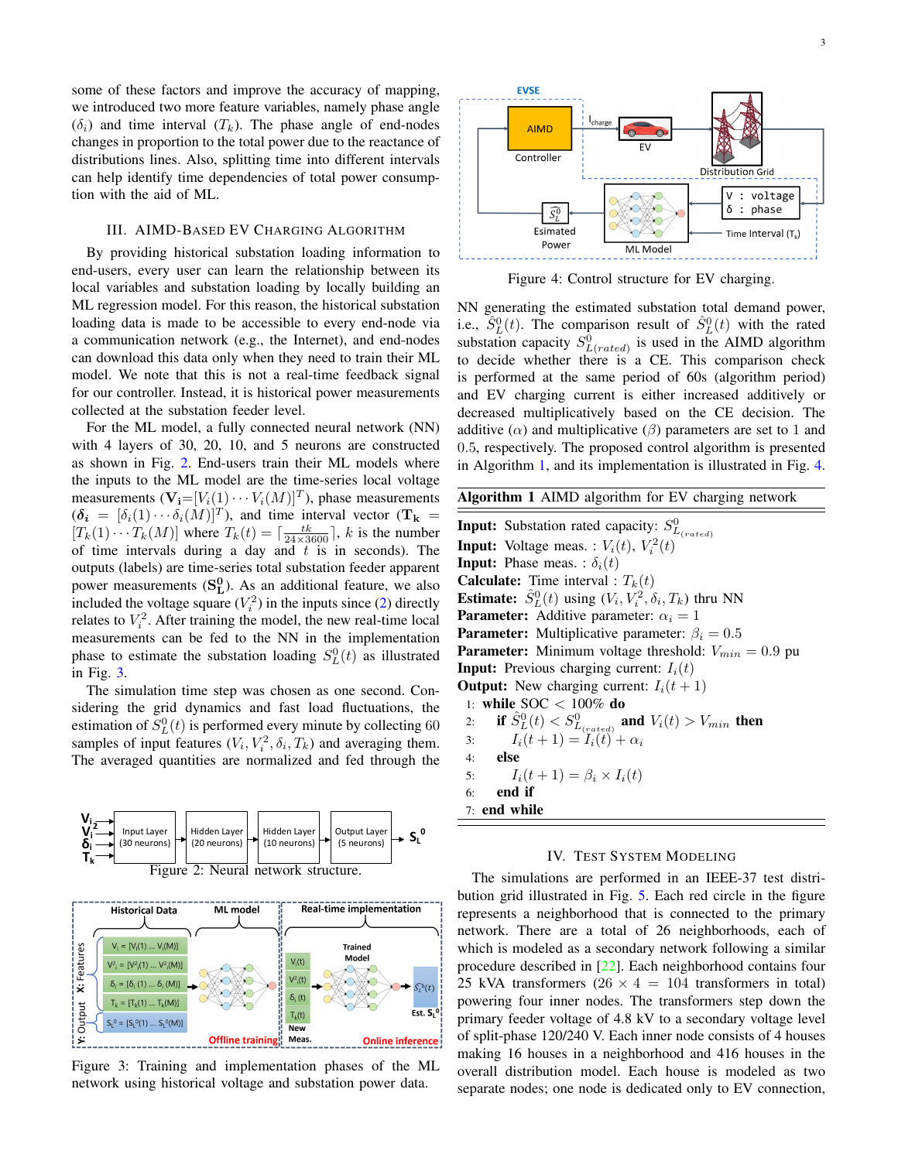some of these factors and improve the accuracy of mapping, we introduced two more feature variables, namely phase angle  $(\delta_i)$  and time interval  $(T_k)$ . The phase angle of end-nodes changes in proportion to the total power due to the reactance of distributions lines. Also, splitting time into different intervals can help identify time dependencies of total power consumption with the aid of ML.

## III. AIMD-BASED EV CHARGING ALGORITHM

By providing historical substation loading information to end-users, every user can learn the relationship between its local variables and substation loading by locally building an ML regression model. For this reason, the historical substation loading data is made to be accessible to every end-node via a communication network (e.g., the Internet), and end-nodes can download this data only when they need to train their ML model. We note that this is not a real-time feedback signal for our controller. Instead, it is historical power measurements collected at the substation feeder level.

For the ML model, a fully connected neural network (NN) with 4 layers of 30, 20, 10, and 5 neurons are constructed as shown in Fig. [2.](#page-2-0) End-users train their ML models where the inputs to the ML model are the time-series local voltage measurements  $(\mathbf{V}_i = [V_i(1) \cdots V_i(M)]^T)$ , phase measurements  $(\boldsymbol{\delta_i} = [\delta_i(1) \cdots \delta_i(M)]^T)$ , and time interval vector  $(T_k =$  $[T_k(1) \cdots T_k(M)]$  where  $T_k(t) = \lceil \frac{tk}{24 \times 3600} \rceil$ , k is the number of time intervals during a day and  $t$  is in seconds). The outputs (labels) are time-series total substation feeder apparent power measurements  $(S_L^0)$ . As an additional feature, we also included the voltage square  $(V_i^2)$  in the inputs since [\(2\)](#page-1-2) directly relates to  $V_i^2$ . After training the model, the new real-time local measurements can be fed to the NN in the implementation phase to estimate the substation loading  $S<sub>L</sub><sup>0</sup>(t)$  as illustrated in Fig. [3.](#page-2-1)

The simulation time step was chosen as one second. Considering the grid dynamics and fast load fluctuations, the estimation of  $S_{L}^{0}(t)$  is performed every minute by collecting 60 samples of input features  $(V_i, V_i^2, \delta_i, T_k)$  and averaging them. The averaged quantities are normalized and fed through the

<span id="page-2-0"></span>

<span id="page-2-1"></span>

Figure 3: Training and implementation phases of the ML network using historical voltage and substation power data.

<span id="page-2-3"></span>

Figure 4: Control structure for EV charging.

NN generating the estimated substation total demand power, i.e.,  $\hat{S}_{L}^{0}(t)$ . The comparison result of  $\hat{S}_{L}^{0}(t)$  with the rated substation capacity  $S_{L(rated)}^0$  is used in the AIMD algorithm to decide whether there is a CE. This comparison check is performed at the same period of 60s (algorithm period) and EV charging current is either increased additively or decreased multiplicatively based on the CE decision. The additive ( $\alpha$ ) and multiplicative ( $\beta$ ) parameters are set to 1 and 0.5, respectively. The proposed control algorithm is presented in Algorithm [1,](#page-2-2) and its implementation is illustrated in Fig. [4.](#page-2-3)

<span id="page-2-2"></span>

| Algorithm 1 AIMD algorithm for EV charging network |  |  |  |  |
|----------------------------------------------------|--|--|--|--|
|----------------------------------------------------|--|--|--|--|

**Input:** Substation rated capacity:  $S_{L_{(rated)}}^0$ **Input:** Voltage meas. :  $V_i(t)$ ,  $V_i^2(t)$ **Input:** Phase meas. :  $\delta_i(t)$ **Calculate:** Time interval :  $T_k(t)$ **Estimate:**  $\hat{S}_{L}^{0}(t)$  using  $(V_{i}, V_{i}^{2}, \delta_{i}, T_{k})$  thru NN **Parameter:** Additive parameter:  $\alpha_i = 1$ **Parameter:** Multiplicative parameter:  $\beta_i = 0.5$ **Parameter:** Minimum voltage threshold:  $V_{min} = 0.9$  pu **Input:** Previous charging current:  $I_i(t)$ **Output:** New charging current:  $I_i(t + 1)$ 1: while SOC < 100% do 2: if  $\hat{S}_{L}^{0}(t) < S_{L_{(rated)}}^{0}$  and  $V_i(t) > V_{min}$  then 3:  $I_i(t+1) = I_i(t) + \alpha_i$  $4:$ 5:  $I_i(t + 1) = \beta_i \times I_i(t)$ 6: end if 7: end while

## IV. TEST SYSTEM MODELING

The simulations are performed in an IEEE-37 test distribution grid illustrated in Fig. [5.](#page-3-0) Each red circle in the figure represents a neighborhood that is connected to the primary network. There are a total of 26 neighborhoods, each of which is modeled as a secondary network following a similar procedure described in [\[22\]](#page-4-13). Each neighborhood contains four 25 kVA transformers  $(26 \times 4 = 104$  transformers in total) powering four inner nodes. The transformers step down the primary feeder voltage of 4.8 kV to a secondary voltage level of split-phase 120/240 V. Each inner node consists of 4 houses making 16 houses in a neighborhood and 416 houses in the overall distribution model. Each house is modeled as two separate nodes; one node is dedicated only to EV connection,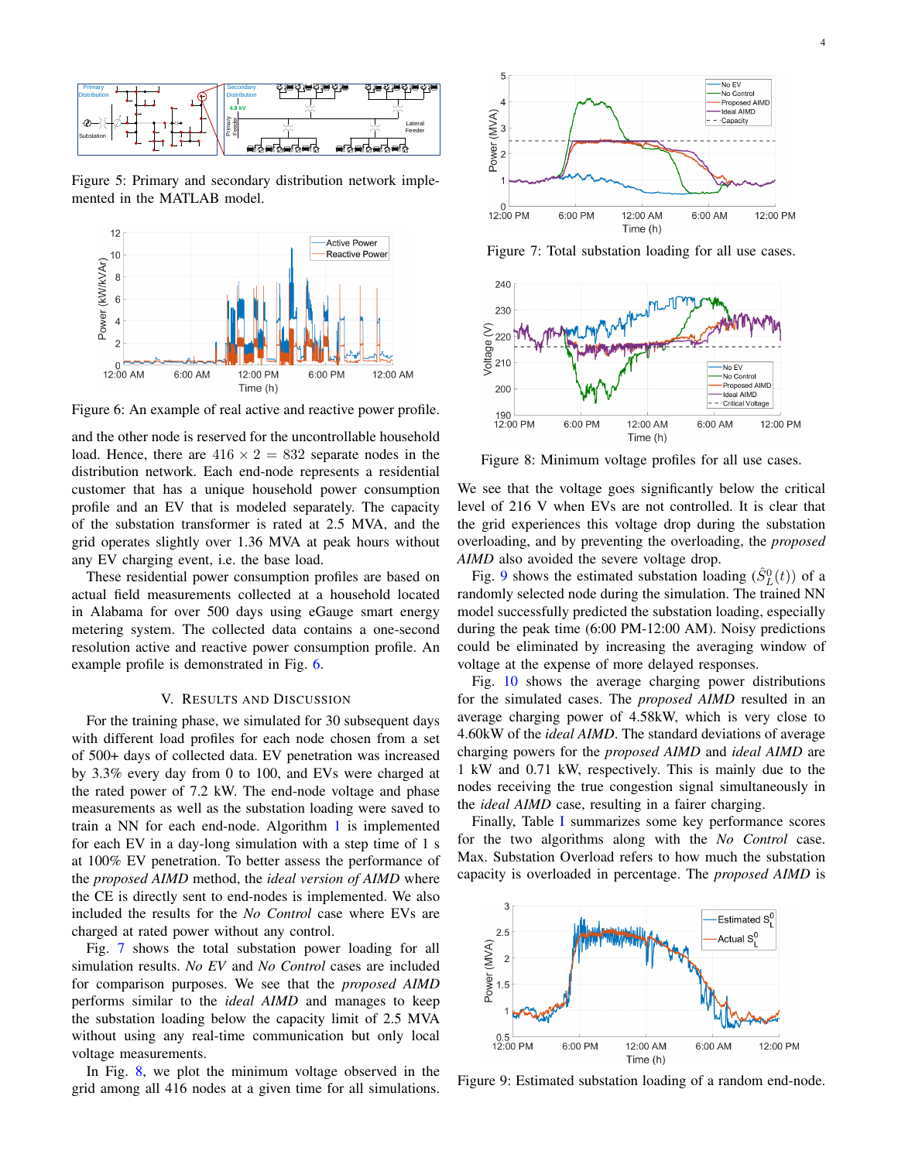<span id="page-3-0"></span>

Figure 5: Primary and secondary distribution network implemented in the MATLAB model.

<span id="page-3-1"></span>

Figure 6: An example of real active and reactive power profile.

and the other node is reserved for the uncontrollable household load. Hence, there are  $416 \times 2 = 832$  separate nodes in the distribution network. Each end-node represents a residential customer that has a unique household power consumption profile and an EV that is modeled separately. The capacity of the substation transformer is rated at 2.5 MVA, and the grid operates slightly over 1.36 MVA at peak hours without any EV charging event, i.e. the base load.

These residential power consumption profiles are based on actual field measurements collected at a household located in Alabama for over 500 days using eGauge smart energy metering system. The collected data contains a one-second resolution active and reactive power consumption profile. An example profile is demonstrated in Fig. [6.](#page-3-1)

### V. RESULTS AND DISCUSSION

For the training phase, we simulated for 30 subsequent days with different load profiles for each node chosen from a set of 500+ days of collected data. EV penetration was increased by 3.3% every day from 0 to 100, and EVs were charged at the rated power of 7.2 kW. The end-node voltage and phase measurements as well as the substation loading were saved to train a NN for each end-node. Algorithm [1](#page-2-2) is implemented for each EV in a day-long simulation with a step time of 1 s at 100% EV penetration. To better assess the performance of the *proposed AIMD* method, the *ideal version of AIMD* where the CE is directly sent to end-nodes is implemented. We also included the results for the *No Control* case where EVs are charged at rated power without any control.

Fig. [7](#page-3-2) shows the total substation power loading for all simulation results. *No EV* and *No Control* cases are included for comparison purposes. We see that the *proposed AIMD* performs similar to the *ideal AIMD* and manages to keep the substation loading below the capacity limit of 2.5 MVA without using any real-time communication but only local voltage measurements.

In Fig. [8,](#page-3-3) we plot the minimum voltage observed in the grid among all 416 nodes at a given time for all simulations.

<span id="page-3-2"></span>

Figure 7: Total substation loading for all use cases.

<span id="page-3-3"></span>

Figure 8: Minimum voltage profiles for all use cases.

We see that the voltage goes significantly below the critical level of 216 V when EVs are not controlled. It is clear that the grid experiences this voltage drop during the substation overloading, and by preventing the overloading, the *proposed AIMD* also avoided the severe voltage drop.

Fig. [9](#page-3-4) shows the estimated substation loading  $(\hat{S}_L^0(t))$  of a randomly selected node during the simulation. The trained NN model successfully predicted the substation loading, especially during the peak time (6:00 PM-12:00 AM). Noisy predictions could be eliminated by increasing the averaging window of voltage at the expense of more delayed responses.

Fig. [10](#page-4-14) shows the average charging power distributions for the simulated cases. The *proposed AIMD* resulted in an average charging power of 4.58kW, which is very close to 4.60kW of the *ideal AIMD*. The standard deviations of average charging powers for the *proposed AIMD* and *ideal AIMD* are 1 kW and 0.71 kW, respectively. This is mainly due to the nodes receiving the true congestion signal simultaneously in the *ideal AIMD* case, resulting in a fairer charging.

Finally, Table [I](#page-4-15) summarizes some key performance scores for the two algorithms along with the *No Control* case. Max. Substation Overload refers to how much the substation capacity is overloaded in percentage. The *proposed AIMD* is

<span id="page-3-4"></span>

Figure 9: Estimated substation loading of a random end-node.